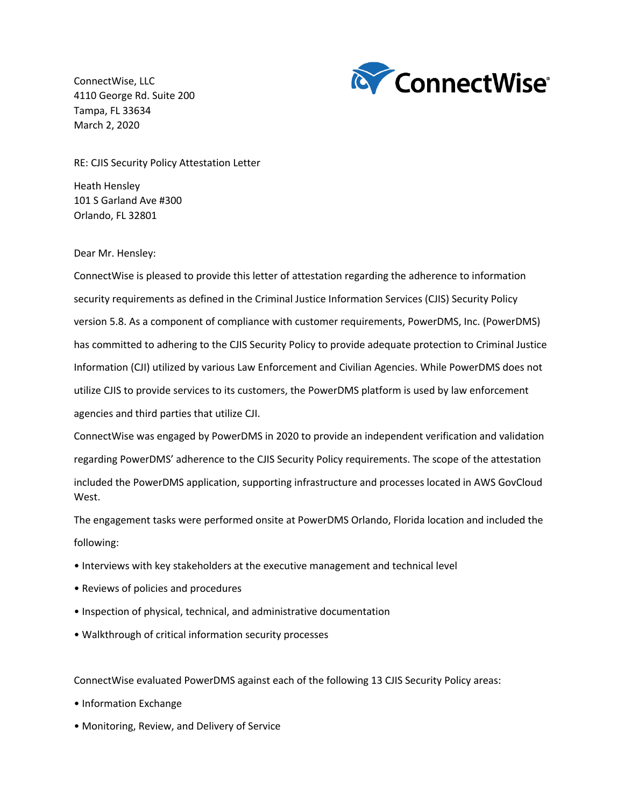ConnectWise, LLC 4110 George Rd. Suite 200 Tampa, FL 33634 March 2, 2020



RE: CJIS Security Policy Attestation Letter

Heath Hensley 101 S Garland Ave #300 Orlando, FL 32801

Dear Mr. Hensley:

ConnectWise is pleased to provide this letter of attestation regarding the adherence to information security requirements as defined in the Criminal Justice Information Services (CJIS) Security Policy version 5.8. As a component of compliance with customer requirements, PowerDMS, Inc. (PowerDMS) has committed to adhering to the CJIS Security Policy to provide adequate protection to Criminal Justice Information (CJI) utilized by various Law Enforcement and Civilian Agencies. While PowerDMS does not utilize CJIS to provide services to its customers, the PowerDMS platform is used by law enforcement agencies and third parties that utilize CJI.

ConnectWise was engaged by PowerDMS in 2020 to provide an independent verification and validation regarding PowerDMS' adherence to the CJIS Security Policy requirements. The scope of the attestation included the PowerDMS application, supporting infrastructure and processes located in AWS GovCloud West.

The engagement tasks were performed onsite at PowerDMS Orlando, Florida location and included the following:

- Interviews with key stakeholders at the executive management and technical level
- Reviews of policies and procedures
- Inspection of physical, technical, and administrative documentation
- Walkthrough of critical information security processes

ConnectWise evaluated PowerDMS against each of the following 13 CJIS Security Policy areas:

- Information Exchange
- Monitoring, Review, and Delivery of Service